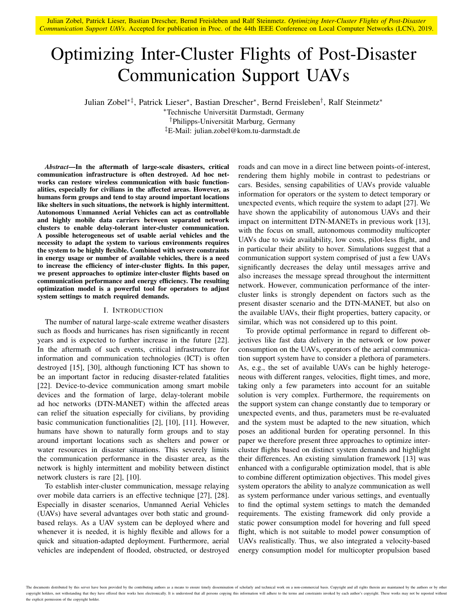Julian Zobel, Patrick Lieser, Bastian Drescher, Bernd Freisleben and Ralf Steinmetz. *Optimizing Inter-Cluster Flights of Post-Disaster Communication Support UAVs*. Accepted for publication in Proc. of the 44th IEEE Conference on Local Computer Networks (LCN), 2019.

# Optimizing Inter-Cluster Flights of Post-Disaster Communication Support UAVs

Julian Zobel∗‡, Patrick Lieser<sup>∗</sup> , Bastian Drescher<sup>∗</sup> , Bernd Freisleben† , Ralf Steinmetz<sup>∗</sup>

<sup>∗</sup>Technische Universitat Darmstadt, Germany ¨ <sup>†</sup>Philipps-Universität Marburg, Germany ‡E-Mail: julian.zobel@kom.tu-darmstadt.de

*Abstract*—In the aftermath of large-scale disasters, critical communication infrastructure is often destroyed. Ad hoc networks can restore wireless communication with basic functionalities, especially for civilians in the affected areas. However, as humans form groups and tend to stay around important locations like shelters in such situations, the network is highly intermittent. Autonomous Unmanned Aerial Vehicles can act as controllable and highly mobile data carriers between separated network clusters to enable delay-tolerant inter-cluster communication. A possible heterogeneous set of usable aerial vehicles and the necessity to adapt the system to various environments requires the system to be highly flexible. Combined with severe constraints in energy usage or number of available vehicles, there is a need to increase the efficiency of inter-cluster flights. In this paper, we present approaches to optimize inter-cluster flights based on communication performance and energy efficiency. The resulting optimization model is a powerful tool for operators to adjust system settings to match required demands.

## I. INTRODUCTION

The number of natural large-scale extreme weather disasters such as floods and hurricanes has risen significantly in recent years and is expected to further increase in the future [22]. In the aftermath of such events, critical infrastructure for information and communication technologies (ICT) is often destroyed [15], [30], although functioning ICT has shown to be an important factor in reducing disaster-related fatalities [22]. Device-to-device communication among smart mobile devices and the formation of large, delay-tolerant mobile ad hoc networks (DTN-MANET) within the affected areas can relief the situation especially for civilians, by providing basic communication functionalities [2], [10], [11]. However, humans have shown to naturally form groups and to stay around important locations such as shelters and power or water resources in disaster situations. This severely limits the communication performance in the disaster area, as the network is highly intermittent and mobility between distinct network clusters is rare [2], [10].

To establish inter-cluster communication, message relaying over mobile data carriers is an effective technique [27], [28]. Especially in disaster scenarios, Unmanned Aerial Vehicles (UAVs) have several advantages over both static and groundbased relays. As a UAV system can be deployed where and whenever it is needed, it is highly flexible and allows for a quick and situation-adapted deployment. Furthermore, aerial vehicles are independent of flooded, obstructed, or destroyed roads and can move in a direct line between points-of-interest, rendering them highly mobile in contrast to pedestrians or cars. Besides, sensing capabilities of UAVs provide valuable information for operators or the system to detect temporary or unexpected events, which require the system to adapt [27]. We have shown the applicability of autonomous UAVs and their impact on intermittent DTN-MANETs in previous work [13], with the focus on small, autonomous commodity multicopter UAVs due to wide availability, low costs, pilot-less flight, and in particular their ability to hover. Simulations suggest that a communication support system comprised of just a few UAVs significantly decreases the delay until messages arrive and also increases the message spread throughout the intermittent network. However, communication performance of the intercluster links is strongly dependent on factors such as the present disaster scenario and the DTN-MANET, but also on the available UAVs, their flight properties, battery capacity, or similar, which was not considered up to this point.

To provide optimal performance in regard to different objectives like fast data delivery in the network or low power consumption on the UAVs, operators of the aerial communication support system have to consider a plethora of parameters. As, e.g., the set of available UAVs can be highly heterogeneous with different ranges, velocities, flight times, and more, taking only a few parameters into account for an suitable solution is very complex. Furthermore, the requirements on the support system can change constantly due to temporary or unexpected events, and thus, parameters must be re-evaluated and the system must be adapted to the new situation, which poses an additional burden for operating personnel. In this paper we therefore present three approaches to optimize intercluster flights based on distinct system demands and highlight their differences. An existing simulation framework [13] was enhanced with a configurable optimization model, that is able to combine different optimization objectives. This model gives system operators the ability to analyze communication as well as system performance under various settings, and eventually to find the optimal system settings to match the demanded requirements. The existing framework did only provide a static power consumption model for hovering and full speed flight, which is not suitable to model power consumption of UAVs realistically. Thus, we also integrated a velocity-based energy consumption model for multicopter propulsion based

The documents distributed by this server have been provided by the contributing authors as a means to ensure timely dissemination of scholarly and technical work on a non-commercial basis. Copyright and all rights therein copyright holders, not withstanding that they have offered their works here electronically. It is understood that all persons copying this information will adhere to the terms and constraints invoked by each author's copyr the explicit permission of the copyright holder.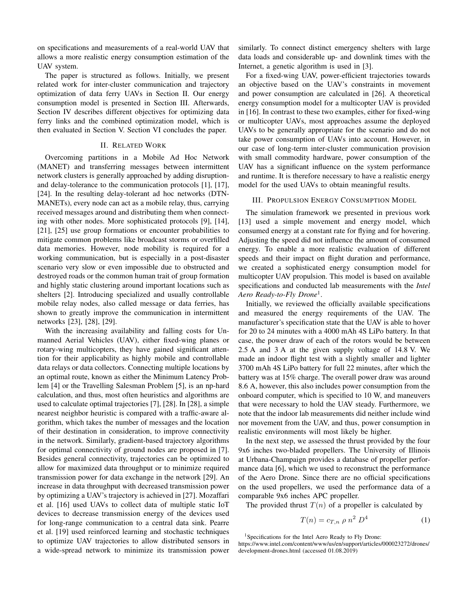on specifications and measurements of a real-world UAV that allows a more realistic energy consumption estimation of the UAV system.

The paper is structured as follows. Initially, we present related work for inter-cluster communication and trajectory optimization of data ferry UAVs in Section II. Our energy consumption model is presented in Section III. Afterwards, Section IV describes different objectives for optimizing data ferry links and the combined optimization model, which is then evaluated in Section V. Section VI concludes the paper.

## II. RELATED WORK

Overcoming partitions in a Mobile Ad Hoc Network (MANET) and transferring messages between intermittent network clusters is generally approached by adding disruptionand delay-tolerance to the communication protocols [1], [17], [24]. In the resulting delay-tolerant ad hoc networks (DTN-MANETs), every node can act as a mobile relay, thus, carrying received messages around and distributing them when connecting with other nodes. More sophisticated protocols [9], [14], [21], [25] use group formations or encounter probabilities to mitigate common problems like broadcast storms or overfilled data memories. However, node mobility is required for a working communication, but is especially in a post-disaster scenario very slow or even impossible due to obstructed and destroyed roads or the common human trait of group formation and highly static clustering around important locations such as shelters [2]. Introducing specialized and usually controllable mobile relay nodes, also called message or data ferries, has shown to greatly improve the communication in intermittent networks [23], [28], [29].

With the increasing availability and falling costs for Unmanned Aerial Vehicles (UAV), either fixed-wing planes or rotary-wing multicopters, they have gained significant attention for their applicability as highly mobile and controllable data relays or data collectors. Connecting multiple locations by an optimal route, known as either the Minimum Latency Problem [4] or the Travelling Salesman Problem [5], is an np-hard calculation, and thus, most often heuristics and algorithms are used to calculate optimal trajectories [7], [28]. In [28], a simple nearest neighbor heuristic is compared with a traffic-aware algorithm, which takes the number of messages and the location of their destination in consideration, to improve connectivity in the network. Similarly, gradient-based trajectory algorithms for optimal connectivity of ground nodes are proposed in [7]. Besides general connectivity, trajectories can be optimized to allow for maximized data throughput or to minimize required transmission power for data exchange in the network [29]. An increase in data throughput with decreased transmission power by optimizing a UAV's trajectory is achieved in [27]. Mozaffari et al. [16] used UAVs to collect data of multiple static IoT devices to decrease transmission energy of the devices used for long-range communication to a central data sink. Pearre et al. [19] used reinforced learning and stochastic techniques to optimize UAV trajectories to allow distributed sensors in a wide-spread network to minimize its transmission power similarly. To connect distinct emergency shelters with large data loads and considerable up- and downlink times with the Internet, a genetic algorithm is used in [3].

For a fixed-wing UAV, power-efficient trajectories towards an objective based on the UAV's constraints in movement and power consumption are calculated in [26]. A theoretical energy consumption model for a multicopter UAV is provided in [16]. In contrast to these two examples, either for fixed-wing or multicopter UAVs, most approaches assume the deployed UAVs to be generally appropriate for the scenario and do not take power consumption of UAVs into account. However, in our case of long-term inter-cluster communication provision with small commodity hardware, power consumption of the UAV has a significant influence on the system performance and runtime. It is therefore necessary to have a realistic energy model for the used UAVs to obtain meaningful results.

#### III. PROPULSION ENERGY CONSUMPTION MODEL

The simulation framework we presented in previous work [13] used a simple movement and energy model, which consumed energy at a constant rate for flying and for hovering. Adjusting the speed did not influence the amount of consumed energy. To enable a more realistic evaluation of different speeds and their impact on flight duration and performance, we created a sophisticated energy consumption model for multicopter UAV propulsion. This model is based on available specifications and conducted lab measurements with the *Intel Aero Ready-to-Fly Drone*<sup>1</sup> .

Initially, we reviewed the officially available specifications and measured the energy requirements of the UAV. The manufacturer's specification state that the UAV is able to hover for 20 to 24 minutes with a 4000 mAh 4S LiPo battery. In that case, the power draw of each of the rotors would be between 2.5 A and 3 A at the given supply voltage of 14.8 V. We made an indoor flight test with a slightly smaller and lighter 3700 mAh 4S LiPo battery for full 22 minutes, after which the battery was at 15% charge. The overall power draw was around 8.6 A, however, this also includes power consumption from the onboard computer, which is specified to 10 W, and maneuvers that were necessary to hold the UAV steady. Furthermore, we note that the indoor lab measurements did neither include wind nor movement from the UAV, and thus, power consumption in realistic environments will most likely be higher.

In the next step, we assessed the thrust provided by the four 9x6 inches two-bladed propellers. The University of Illinois at Urbana-Champaign provides a database of propeller performance data [6], which we used to reconstruct the performance of the Aero Drone. Since there are no official specifications on the used propellers, we used the performance data of a comparable 9x6 inches APC propeller.

The provided thrust  $T(n)$  of a propeller is calculated by

$$
T(n) = c_{T,n} \rho n^2 D^4 \qquad (1)
$$

<sup>&</sup>lt;sup>1</sup>Specifications for the Intel Aero Ready to Fly Drone:

https://www.intel.com/content/www/us/en/support/articles/000023272/drones/ development-drones.html (accessed 01.08.2019)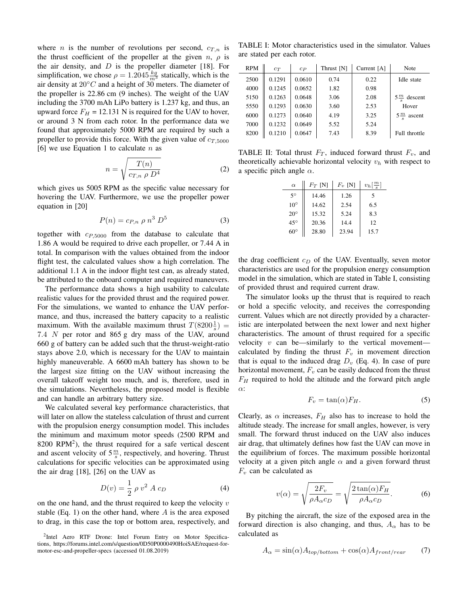where *n* is the number of revolutions per second,  $c_{T,n}$  is the thrust coefficient of the propeller at the given  $n, \rho$  is the air density, and  $D$  is the propeller diameter [18]. For simplification, we chose  $\rho = 1.2045 \frac{kg}{m^3}$  statically, which is the air density at  $20 °C$  and a height of 30 meters. The diameter of the propeller is 22.86 cm (9 inches). The weight of the UAV including the 3700 mAh LiPo battery is 1.237 kg, and thus, an upward force  $F_H = 12.131$  N is required for the UAV to hover, or around 3 N from each rotor. In the performance data we found that approximately 5000 RPM are required by such a propeller to provide this force. With the given value of  $c_{T,5000}$ [6] we use Equation 1 to calculate  $n$  as

$$
n = \sqrt{\frac{T(n)}{c_{T,n} \rho D^4}}
$$
 (2)

which gives us 5005 RPM as the specific value necessary for hovering the UAV. Furthermore, we use the propeller power equation in [20]

$$
P(n) = c_{P,n} \rho n^3 D^5 \tag{3}
$$

together with  $c_{P,5000}$  from the database to calculate that 1.86 A would be required to drive each propeller, or 7.44 A in total. In comparison with the values obtained from the indoor flight test, the calculated values show a high correlation. The additional 1.1 A in the indoor flight test can, as already stated, be attributed to the onboard computer and required maneuvers.

The performance data shows a high usability to calculate realistic values for the provided thrust and the required power. For the simulations, we wanted to enhance the UAV performance, and thus, increased the battery capacity to a realistic maximum. With the available maximum thrust  $T(8200\frac{1}{s}) =$ 7.4 N per rotor and 865 g dry mass of the UAV, around 660 g of battery can be added such that the thrust-weight-ratio stays above 2.0, which is necessary for the UAV to maintain highly maneuverable. A 6600 mAh battery has shown to be the largest size fitting on the UAV without increasing the overall takeoff weight too much, and is, therefore, used in the simulations. Nevertheless, the proposed model is flexible and can handle an arbitrary battery size.

We calculated several key performance characteristics, that will later on allow the stateless calculation of thrust and current with the propulsion energy consumption model. This includes the minimum and maximum motor speeds (2500 RPM and  $8200$  RPM<sup>2</sup>), the thrust required for a safe vertical descent and ascent velocity of  $5\frac{m}{s}$ , respectively, and hovering. Thrust calculations for specific velocities can be approximated using the air drag [18], [26] on the UAV as

$$
D(v) = \frac{1}{2} \rho v^2 A c_D
$$
 (4)

on the one hand, and the thrust required to keep the velocity  $v$ stable (Eq. 1) on the other hand, where  $A$  is the area exposed to drag, in this case the top or bottom area, respectively, and

<sup>2</sup>Intel Aero RTF Drone: Intel Forum Entry on Motor Specifications, https://forums.intel.com/s/question/0D50P0000490HoiSAE/request-formotor-esc-and-propeller-specs (accessed 01.08.2019)

TABLE I: Motor characteristics used in the simulator. Values are stated per each rotor.

| <b>RPM</b> | $c_T$  | $c_{P}$ | Thrust [N] | Current $[A]$ | Note                      |
|------------|--------|---------|------------|---------------|---------------------------|
| 2500       | 0.1291 | 0.0610  | 0.74       | 0.22          | Idle state                |
| 4000       | 0.1245 | 0.0652  | 1.82       | 0.98          |                           |
| 5150       | 0.1263 | 0.0648  | 3.06       | 2.08          | $5^{\frac{m}{2}}$ descent |
| 5550       | 0.1293 | 0.0630  | 3.60       | 2.53          | Hover                     |
| 6000       | 0.1273 | 0.0640  | 4.19       | 3.25          | $5^{\frac{m}{2}}$ ascent  |
| 7000       | 0.1232 | 0.0649  | 5.52       | 5.24          |                           |
| 8200       | 0.1210 | 0.0647  | 7.43       | 8.39          | Full throttle             |

TABLE II: Total thrust  $F_T$ , induced forward thrust  $F_y$ , and theoretically achievable horizontal velocity  $v_h$  with respect to a specific pitch angle  $\alpha$ .

| $\alpha$     | $F_T$ [N] | $F_v$ [N] | $v_h\left[\frac{m}{s}\right]$ |
|--------------|-----------|-----------|-------------------------------|
| $5^{\circ}$  | 14.46     | 1.26      | 5                             |
| $10^{\circ}$ | 14.62     | 2.54      | 6.5                           |
| $20^{\circ}$ | 15.32     | 5.24      | 8.3                           |
| $45^\circ$   | 20.36     | 14.4      | 12                            |
| $60^\circ$   | 28.80     | 23.94     | 15.7                          |

the drag coefficient  $c_D$  of the UAV. Eventually, seven motor characteristics are used for the propulsion energy consumption model in the simulation, which are stated in Table I, consisting of provided thrust and required current draw.

The simulator looks up the thrust that is required to reach or hold a specific velocity, and receives the corresponding current. Values which are not directly provided by a characteristic are interpolated between the next lower and next higher characteristics. The amount of thrust required for a specific velocity  $v$  can be—similarly to the vertical movement calculated by finding the thrust  $F_v$  in movement direction that is equal to the induced drag  $D_v$  (Eq. 4). In case of pure horizontal movement,  $F_v$  can be easily deduced from the thrust  $F_H$  required to hold the altitude and the forward pitch angle α:

$$
F_v = \tan(\alpha) F_H. \tag{5}
$$

Clearly, as  $\alpha$  increases,  $F_H$  also has to increase to hold the altitude steady. The increase for small angles, however, is very small. The forward thrust induced on the UAV also induces air drag, that ultimately defines how fast the UAV can move in the equilibrium of forces. The maximum possible horizontal velocity at a given pitch angle  $\alpha$  and a given forward thrust  $F_v$  can be calculated as

$$
v(\alpha) = \sqrt{\frac{2F_v}{\rho A_\alpha c_D}} = \sqrt{\frac{2\tan(\alpha)F_H}{\rho A_\alpha c_D}}.\tag{6}
$$

By pitching the aircraft, the size of the exposed area in the forward direction is also changing, and thus,  $A_{\alpha}$  has to be calculated as

$$
A_{\alpha} = \sin(\alpha) A_{top/bottom} + \cos(\alpha) A_{front/rear}
$$
 (7)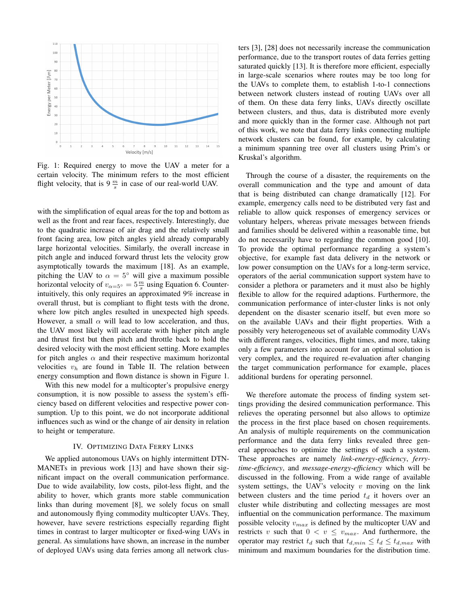

Fig. 1: Required energy to move the UAV a meter for a certain velocity. The minimum refers to the most efficient flight velocity, that is  $9 \frac{m}{s}$  in case of our real-world UAV.

with the simplification of equal areas for the top and bottom as well as the front and rear faces, respectively. Interestingly, due to the quadratic increase of air drag and the relatively small front facing area, low pitch angles yield already comparably large horizontal velocities. Similarly, the overall increase in pitch angle and induced forward thrust lets the velocity grow asymptotically towards the maximum [18]. As an example, pitching the UAV to  $\alpha = 5^{\circ}$  will give a maximum possible horizontal velocity of  $v_{\alpha=5}$ <sup>o</sup> =  $5\frac{m}{s}$  using Equation 6. Counterintuitively, this only requires an approximated 9% increase in overall thrust, but is compliant to flight tests with the drone, where low pitch angles resulted in unexpected high speeds. However, a small  $\alpha$  will lead to low acceleration, and thus, the UAV most likely will accelerate with higher pitch angle and thrust first but then pitch and throttle back to hold the desired velocity with the most efficient setting. More examples for pitch angles  $\alpha$  and their respective maximum horizontal velocities  $v_h$  are found in Table II. The relation between energy consumption and flown distance is shown in Figure 1.

With this new model for a multicopter's propulsive energy consumption, it is now possible to assess the system's efficiency based on different velocities and respective power consumption. Up to this point, we do not incorporate additional influences such as wind or the change of air density in relation to height or temperature.

## IV. OPTIMIZING DATA FERRY LINKS

We applied autonomous UAVs on highly intermittent DTN-MANETs in previous work [13] and have shown their significant impact on the overall communication performance. Due to wide availability, low costs, pilot-less flight, and the ability to hover, which grants more stable communication links than during movement [8], we solely focus on small and autonomously flying commodity multicopter UAVs. They, however, have severe restrictions especially regarding flight times in contrast to larger multicopter or fixed-wing UAVs in general. As simulations have shown, an increase in the number of deployed UAVs using data ferries among all network clusters [3], [28] does not necessarily increase the communication performance, due to the transport routes of data ferries getting saturated quickly [13]. It is therefore more efficient, especially in large-scale scenarios where routes may be too long for the UAVs to complete them, to establish 1-to-1 connections between network clusters instead of routing UAVs over all of them. On these data ferry links, UAVs directly oscillate between clusters, and thus, data is distributed more evenly and more quickly than in the former case. Although not part of this work, we note that data ferry links connecting multiple network clusters can be found, for example, by calculating a minimum spanning tree over all clusters using Prim's or Kruskal's algorithm.

Through the course of a disaster, the requirements on the overall communication and the type and amount of data that is being distributed can change dramatically [12]. For example, emergency calls need to be distributed very fast and reliable to allow quick responses of emergency services or voluntary helpers, whereas private messages between friends and families should be delivered within a reasonable time, but do not necessarily have to regarding the common good [10]. To provide the optimal performance regarding a system's objective, for example fast data delivery in the network or low power consumption on the UAVs for a long-term service, operators of the aerial communication support system have to consider a plethora or parameters and it must also be highly flexible to allow for the required adaptions. Furthermore, the communication performance of inter-cluster links is not only dependent on the disaster scenario itself, but even more so on the available UAVs and their flight properties. With a possibly very heterogeneous set of available commodity UAVs with different ranges, velocities, flight times, and more, taking only a few parameters into account for an optimal solution is very complex, and the required re-evaluation after changing the target communication performance for example, places additional burdens for operating personnel.

We therefore automate the process of finding system settings providing the desired communication performance. This relieves the operating personnel but also allows to optimize the process in the first place based on chosen requirements. An analysis of multiple requirements on the communication performance and the data ferry links revealed three general approaches to optimize the settings of such a system. These approaches are namely *link-energy-efficiency*, *ferrytime-efficiency*, and *message-energy-efficiency* which will be discussed in the following. From a wide range of available system settings, the UAV's velocity  $v$  moving on the link between clusters and the time period  $t_d$  it hovers over an cluster while distributing and collecting messages are most influential on the communication performance. The maximum possible velocity  $v_{max}$  is defined by the multicopter UAV and restricts v such that  $0 < v \le v_{max}$ . And furthermore, the operator may restrict  $t_d$  such that  $t_{d,min} \leq t_d \leq t_{d,max}$  with minimum and maximum boundaries for the distribution time.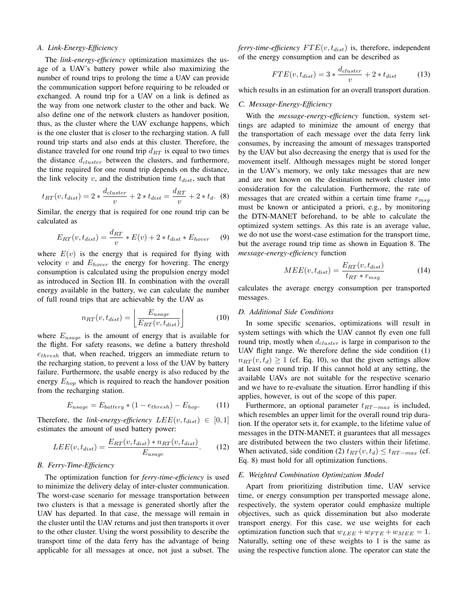## *A. Link-Energy-Efficiency*

The *link-energy-efficiency* optimization maximizes the usage of a UAV's battery power while also maximizing the number of round trips to prolong the time a UAV can provide the communication support before requiring to be reloaded or exchanged. A round trip for a UAV on a link is defined as the way from one network cluster to the other and back. We also define one of the network clusters as handover position, thus, as the cluster where the UAV exchange happens, which is the one cluster that is closer to the recharging station. A full round trip starts and also ends at this cluster. Therefore, the distance traveled for one round trip  $d_{RT}$  is equal to two times the distance  $d_{cluster}$  between the clusters, and furthermore, the time required for one round trip depends on the distance, the link velocity v, and the distribution time  $t_{dist}$ , such that

$$
t_{RT}(v, t_{dist}) = 2 * \frac{d_{cluster}}{v} + 2 * t_{dist} = \frac{d_{RT}}{v} + 2 * t_d. \tag{8}
$$

Similar, the energy that is required for one round trip can be calculated as

$$
E_{RT}(v, t_{dist}) = \frac{d_{RT}}{v} * E(v) + 2 * t_{dist} * E_{hover} \tag{9}
$$

where  $E(v)$  is the energy that is required for flying with velocity  $v$  and  $E_{hover}$  the energy for hovering. The energy consumption is calculated using the propulsion energy model as introduced in Section III. In combination with the overall energy available in the battery, we can calculate the number of full round trips that are achievable by the UAV as

$$
n_{RT}(v, t_{dist}) = \left\lfloor \frac{E_{usage}}{E_{RT}(v, t_{dist})} \right\rfloor \tag{10}
$$

where  $E_{usage}$  is the amount of energy that is available for the flight. For safety reasons, we define a battery threshold  $e_{thresh}$  that, when reached, triggers an immediate return to the recharging station, to prevent a loss of the UAV by battery failure. Furthermore, the usable energy is also reduced by the energy  $E_{hop}$  which is required to reach the handover position from the recharging station.

$$
E_{usage} = E_{battery} * (1 - e_{thresh}) - E_{hop}. \tag{11}
$$

Therefore, the *link-energy-efficiency*  $LEE(v, t_{dist}) \in [0, 1]$ estimates the amount of used battery power:

$$
LEE(v, t_{dist}) = \frac{E_{RT}(v, t_{dist}) * n_{RT}(v, t_{dist})}{E_{usage}}.
$$
 (12)

# *B. Ferry-Time-Efficiency*

The optimization function for *ferry-time-efficiency* is used to minimize the delivery delay of inter-cluster communication. The worst-case scenario for message transportation between two clusters is that a message is generated shortly after the UAV has departed. In that case, the message will remain in the cluster until the UAV returns and just then transports it over to the other cluster. Using the worst possibility to describe the transport time of the data ferry has the advantage of being applicable for all messages at once, not just a subset. The *ferry-time-efficiency*  $FTE(v, t_{dist})$  is, therefore, independent of the energy consumption and can be described as

$$
FTE(v, t_{dist}) = 3 * \frac{d_{cluster}}{v} + 2 * t_{dist}
$$
 (13)

which results in an estimation for an overall transport duration.

# *C. Message-Energy-Efficiency*

With the *message-energy-efficiency* function, system settings are adapted to minimize the amount of energy that the transportation of each message over the data ferry link consumes, by increasing the amount of messages transported by the UAV but also decreasing the energy that is used for the movement itself. Although messages might be stored longer in the UAV's memory, we only take messages that are new and are not known on the destination network cluster into consideration for the calculation. Furthermore, the rate of messages that are created within a certain time frame  $r_{msg}$ must be known or anticipated a priori, e.g., by monitoring the DTN-MANET beforehand, to be able to calculate the optimized system settings. As this rate is an average value, we do not use the worst-case estimation for the transport time, but the average round trip time as shown in Equation 8. The *message-energy-efficiency* function

$$
MEE(v, t_{dist}) = \frac{E_{RT}(v, t_{dist})}{t_{RT} * r_{msg}} \tag{14}
$$

calculates the average energy consumption per transported messages.

## *D. Additional Side Conditions*

In some specific scenarios, optimizations will result in system settings with which the UAV cannot fly even one full round trip, mostly when  $d_{cluster}$  is large in comparison to the UAV flight range. We therefore define the side condition (1)  $n_{RT}(v, t_d) \ge 1$  (cf. Eq. 10), so that the given settings allow at least one round trip. If this cannot hold at any setting, the available UAVs are not suitable for the respective scenario and we have to re-evaluate the situation. Error handling if this applies, however, is out of the scope of this paper.

Furthermore, an optional parameter  $t_{RT-max}$  is included, which resembles an upper limit for the overall round trip duration. If the operator sets it, for example, to the lifetime value of messages in the DTN-MANET, it guarantees that all messages are distributed between the two clusters within their lifetime. When activated, side condition (2)  $t_{RT}(v, t_d) \leq t_{RT-max}$  (cf. Eq. 8) must hold for all optimization functions.

## *E. Weighted Combination Optimization Model*

Apart from prioritizing distribution time, UAV service time, or energy consumption per transported message alone, respectively, the system operator could emphasize multiple objectives, such as quick dissemination but also moderate transport energy. For this case, we use weights for each optimization function such that  $w_{LEE} + w_{FTE} + w_{MEE} = 1$ . Naturally, setting one of these weights to 1 is the same as using the respective function alone. The operator can state the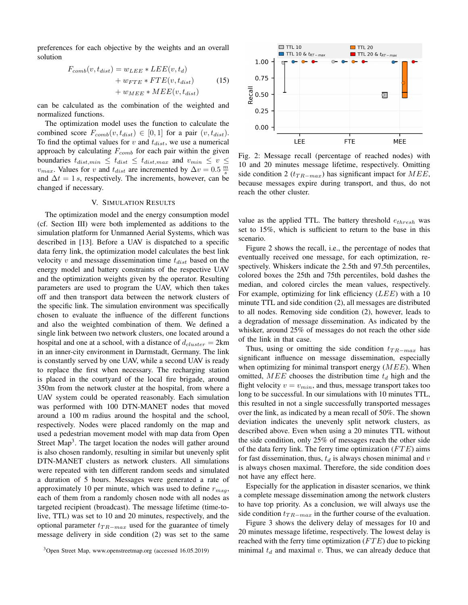preferences for each objective by the weights and an overall solution

$$
F_{comb}(v, t_{dist}) = w_{LEE} * LEE(v, t_d)
$$
  
+ 
$$
w_{FTE} * FTE(v, t_{dist})
$$
 (15)  
+ 
$$
w_{MEE} * MEE(v, t_{dist})
$$

can be calculated as the combination of the weighted and normalized functions.

The optimization model uses the function to calculate the combined score  $F_{comb}(v, t_{dist}) \in [0, 1]$  for a pair  $(v, t_{dist})$ . To find the optimal values for  $v$  and  $t_{dist}$ , we use a numerical approach by calculating  $F_{comb}$  for each pair within the given boundaries  $t_{dist,min} \leq t_{dist} \leq t_{dist,max}$  and  $v_{min} \leq v \leq$  $v_{max}$ . Values for v and  $t_{dist}$  are incremented by  $\Delta v = 0.5 \frac{m}{s}$ and  $\Delta t = 1$  s, respectively. The increments, however, can be changed if necessary.

## V. SIMULATION RESULTS

The optimization model and the energy consumption model (cf. Section III) were both implemented as additions to the simulation platform for Unmanned Aerial Systems, which was described in [13]. Before a UAV is dispatched to a specific data ferry link, the optimization model calculates the best link velocity  $v$  and message dissemination time  $t_{dist}$  based on the energy model and battery constraints of the respective UAV and the optimization weights given by the operator. Resulting parameters are used to program the UAV, which then takes off and then transport data between the network clusters of the specific link. The simulation environment was specifically chosen to evaluate the influence of the different functions and also the weighted combination of them. We defined a single link between two network clusters, one located around a hospital and one at a school, with a distance of  $d_{cluster} = 2 \text{km}$ in an inner-city environment in Darmstadt, Germany. The link is constantly served by one UAV, while a second UAV is ready to replace the first when necessary. The recharging station is placed in the courtyard of the local fire brigade, around 350m from the network cluster at the hospital, from where a UAV system could be operated reasonably. Each simulation was performed with 100 DTN-MANET nodes that moved around a 100 m radius around the hospital and the school, respectively. Nodes were placed randomly on the map and used a pedestrian movement model with map data from Open Street Map<sup>3</sup>. The target location the nodes will gather around is also chosen randomly, resulting in similar but unevenly split DTN-MANET clusters as network clusters. All simulations were repeated with ten different random seeds and simulated a duration of 5 hours. Messages were generated a rate of approximately 10 per minute, which was used to define  $r_{msa}$ , each of them from a randomly chosen node with all nodes as targeted recipient (broadcast). The message lifetime (time-tolive, TTL) was set to 10 and 20 minutes, respectively, and the optional parameter  $t_{TR-max}$  used for the guarantee of timely message delivery in side condition (2) was set to the same





Fig. 2: Message recall (percentage of reached nodes) with 10 and 20 minutes message lifetime, respectively. Omitting side condition 2 ( $t_{TR-max}$ ) has significant impact for  $MEE$ , because messages expire during transport, and thus, do not reach the other cluster.

value as the applied TTL. The battery threshold  $e_{thresh}$  was set to 15%, which is sufficient to return to the base in this scenario.

Figure 2 shows the recall, i.e., the percentage of nodes that eventually received one message, for each optimization, respectively. Whiskers indicate the 2.5th and 97.5th percentiles, colored boxes the 25th and 75th percentiles, bold dashes the median, and colored circles the mean values, respectively. For example, optimizing for link efficiency  $(LEE)$  with a 10 minute TTL and side condition (2), all messages are distributed to all nodes. Removing side condition (2), however, leads to a degradation of message dissemination. As indicated by the whisker, around 25% of messages do not reach the other side of the link in that case.

Thus, using or omitting the side condition  $t_{TR-max}$  has significant influence on message dissemination, especially when optimizing for minimal transport energy  $(MEE)$ . When omitted, MEE chooses the distribution time  $t_d$  high and the flight velocity  $v = v_{min}$ , and thus, message transport takes too long to be successful. In our simulations with 10 minutes TTL, this resulted in not a single successfully transported messages over the link, as indicated by a mean recall of 50%. The shown deviation indicates the unevenly split network clusters, as described above. Even when using a 20 minutes TTL without the side condition, only 25% of messages reach the other side of the data ferry link. The ferry time optimization  $(FTE)$  aims for fast dissemination, thus,  $t_d$  is always chosen minimal and v is always chosen maximal. Therefore, the side condition does not have any effect here.

Especially for the application in disaster scenarios, we think a complete message dissemination among the network clusters to have top priority. As a conclusion, we will always use the side condition  $t_{TR-max}$  in the further course of the evaluation.

Figure 3 shows the delivery delay of messages for 10 and 20 minutes message lifetime, respectively. The lowest delay is reached with the ferry time optimization  $(FTE)$  due to picking minimal  $t_d$  and maximal v. Thus, we can already deduce that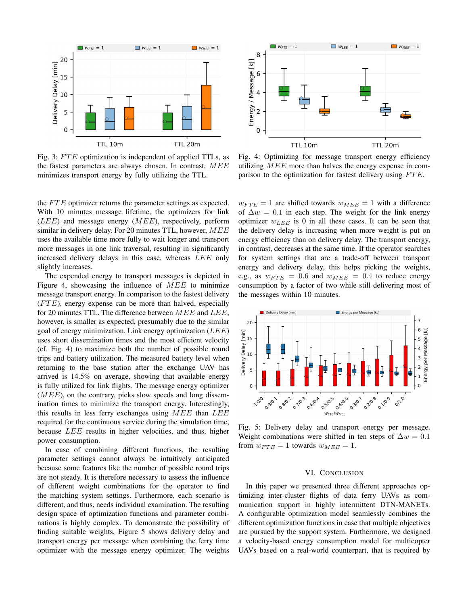

Fig. 3: FTE optimization is independent of applied TTLs, as the fastest parameters are always chosen. In contrast,  $MEE$ minimizes transport energy by fully utilizing the TTL.

the  $FTE$  optimizer returns the parameter settings as expected. With 10 minutes message lifetime, the optimizers for link  $(LEE)$  and message energy  $(MEE)$ , respectively, perform similar in delivery delay. For 20 minutes TTL, however,  $MEE$ uses the available time more fully to wait longer and transport more messages in one link traversal, resulting in significantly increased delivery delays in this case, whereas LEE only slightly increases.

The expended energy to transport messages is depicted in Figure 4, showcasing the influence of MEE to minimize message transport energy. In comparison to the fastest delivery  $(FTE)$ , energy expense can be more than halved, especially for 20 minutes TTL. The difference between  $MEE$  and  $LEE$ , however, is smaller as expected, presumably due to the similar goal of energy minimization. Link energy optimization  $(LEE)$ uses short dissemination times and the most efficient velocity (cf. Fig. 4) to maximize both the number of possible round trips and battery utilization. The measured battery level when returning to the base station after the exchange UAV has arrived is 14.5% on average, showing that available energy is fully utilized for link flights. The message energy optimizer  $(MEE)$ , on the contrary, picks slow speeds and long dissemination times to minimize the transport energy. Interestingly, this results in less ferry exchanges using  $MEE$  than  $LEE$ required for the continuous service during the simulation time, because LEE results in higher velocities, and thus, higher power consumption.

In case of combining different functions, the resulting parameter settings cannot always be intuitively anticipated because some features like the number of possible round trips are not steady. It is therefore necessary to assess the influence of different weight combinations for the operator to find the matching system settings. Furthermore, each scenario is different, and thus, needs individual examination. The resulting design space of optimization functions and parameter combinations is highly complex. To demonstrate the possibility of finding suitable weights, Figure 5 shows delivery delay and transport energy per message when combining the ferry time optimizer with the message energy optimizer. The weights



Fig. 4: Optimizing for message transport energy efficiency utilizing MEE more than halves the energy expense in comparison to the optimization for fastest delivery using  $FTE$ .

 $w_{FTE} = 1$  are shifted towards  $w_{MEE} = 1$  with a difference of  $\Delta w = 0.1$  in each step. The weight for the link energy optimizer  $w_{LEE}$  is 0 in all these cases. It can be seen that the delivery delay is increasing when more weight is put on energy efficiency than on delivery delay. The transport energy, in contrast, decreases at the same time. If the operator searches for system settings that are a trade-off between transport energy and delivery delay, this helps picking the weights, e.g., as  $w_{FTE} = 0.6$  and  $w_{MEE} = 0.4$  to reduce energy consumption by a factor of two while still delivering most of the messages within 10 minutes.



Fig. 5: Delivery delay and transport energy per message. Weight combinations were shifted in ten steps of  $\Delta w = 0.1$ from  $w_{FTE} = 1$  towards  $w_{MEE} = 1$ .

## VI. CONCLUSION

In this paper we presented three different approaches optimizing inter-cluster flights of data ferry UAVs as communication support in highly intermittent DTN-MANETs. A configurable optimization model seamlessly combines the different optimization functions in case that multiple objectives are pursued by the support system. Furthermore, we designed a velocity-based energy consumption model for multicopter UAVs based on a real-world counterpart, that is required by